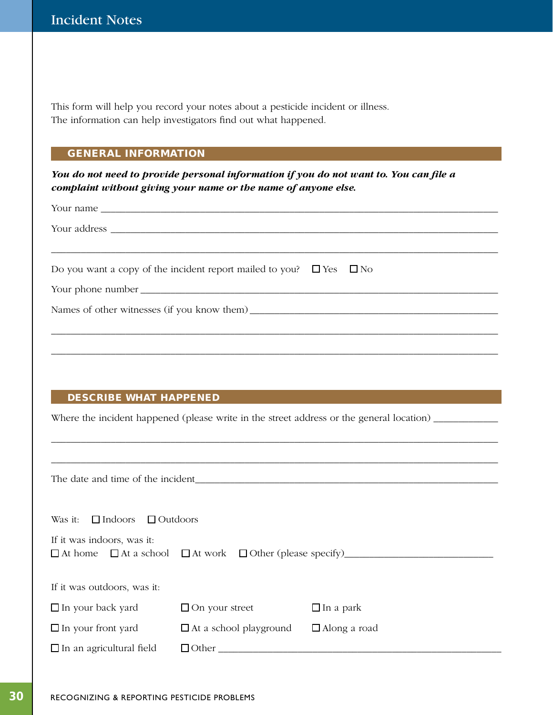This form will help you record your notes about a pesticide incident or illness. The information can help investigators find out what happened.

## GENERAL INFORMATION

*You do not need to provide personal information if you do not want to. You can file a complaint without giving your name or the name of anyone else.*

| Do you want a copy of the incident report mailed to you? $\square$ Yes $\square$ No |
|-------------------------------------------------------------------------------------|
|                                                                                     |
|                                                                                     |
|                                                                                     |
|                                                                                     |
|                                                                                     |

## DESCRIBE WHAT HAPPENED

Where the incident happened (please write in the street address or the general location) \_\_\_\_\_\_\_\_\_\_\_\_\_\_\_\_\_\_\_\_\_

\_\_\_\_\_\_\_\_\_\_\_\_\_\_\_\_\_\_\_\_\_\_\_\_\_\_\_\_\_\_\_\_\_\_\_\_\_\_\_\_\_\_\_\_\_\_\_\_\_\_\_\_\_\_\_\_\_\_\_\_\_\_\_\_\_\_\_\_\_\_\_\_\_\_\_\_\_\_\_\_\_\_\_\_\_\_\_\_\_\_

The date and time of the incident\_\_\_\_\_\_\_\_\_\_\_\_\_\_\_\_\_\_\_\_\_\_\_\_\_\_\_\_\_\_\_\_\_\_\_\_\_\_\_\_\_\_\_\_\_\_\_\_\_\_\_\_\_\_\_\_\_\_\_\_\_

Was it:  $\Box$  Indoors  $\Box$  Outdoors

| If it was indoors, was it:                                  |  |
|-------------------------------------------------------------|--|
| $\Box$ At home $\Box$ At a school $\Box$ At work $\Box$ Otl |  |

At home At a school At work Other (please specify)\_\_\_\_\_\_\_\_\_\_\_\_\_\_\_\_\_\_\_\_\_\_\_\_\_\_\_\_\_\_

| If it was outdoors, was it: |  |  |
|-----------------------------|--|--|
|-----------------------------|--|--|

| $\Box$ In your back yard        | $\Box$ On your street         | $\Box$ In a park    |
|---------------------------------|-------------------------------|---------------------|
| $\Box$ In your front yard       | $\Box$ At a school playground | $\Box$ Along a road |
| $\Box$ In an agricultural field | $\Box$ Other                  |                     |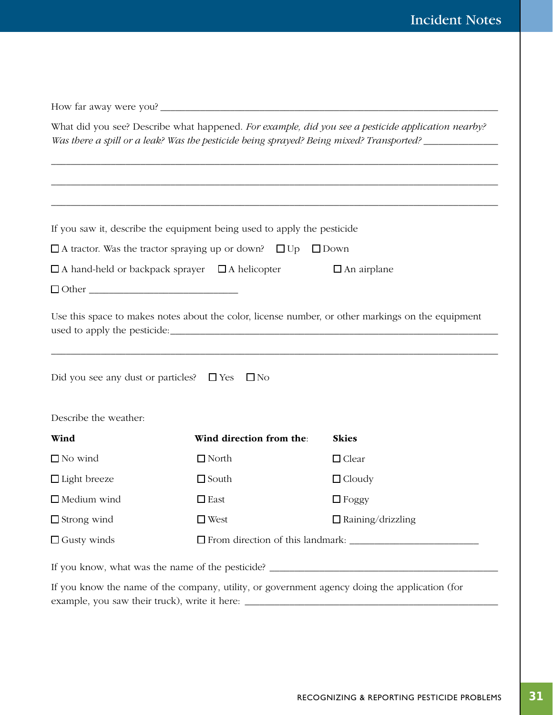|                                               |                                                                              | What did you see? Describe what happened. For example, did you see a pesticide application nearby?<br>Was there a spill or a leak? Was the pesticide being sprayed? Being mixed? Transported? ____________ |
|-----------------------------------------------|------------------------------------------------------------------------------|------------------------------------------------------------------------------------------------------------------------------------------------------------------------------------------------------------|
|                                               |                                                                              |                                                                                                                                                                                                            |
|                                               | If you saw it, describe the equipment being used to apply the pesticide      |                                                                                                                                                                                                            |
|                                               | $\Box$ A tractor. Was the tractor spraying up or down? $\Box$ Up $\Box$ Down |                                                                                                                                                                                                            |
|                                               | $\Box$ A hand-held or backpack sprayer $\Box$ A helicopter                   | $\Box$ An airplane                                                                                                                                                                                         |
|                                               |                                                                              |                                                                                                                                                                                                            |
| Did you see any dust or particles? $\Box$ Yes | $\square$ No                                                                 | Use this space to makes notes about the color, license number, or other markings on the equipment                                                                                                          |
| Describe the weather:                         |                                                                              |                                                                                                                                                                                                            |
| Wind                                          | Wind direction from the:                                                     | <b>Skies</b>                                                                                                                                                                                               |
| $\Box$ No wind                                | $\Box$ North                                                                 | $\Box$ Clear                                                                                                                                                                                               |
| $\Box$ Light breeze                           | $\Box$ South                                                                 | $\Box$ Cloudy                                                                                                                                                                                              |
| $\Box$ Medium wind                            | $\square$ East                                                               | $\Box$ Foggy                                                                                                                                                                                               |
| $\Box$ Strong wind                            | $\square$ West                                                               | $\Box$ Raining/drizzling                                                                                                                                                                                   |
| $\Box$ Gusty winds                            |                                                                              |                                                                                                                                                                                                            |
|                                               |                                                                              | If you know, what was the name of the pesticide?                                                                                                                                                           |
|                                               |                                                                              | If you know the name of the company, utility, or government agency doing the application (for                                                                                                              |